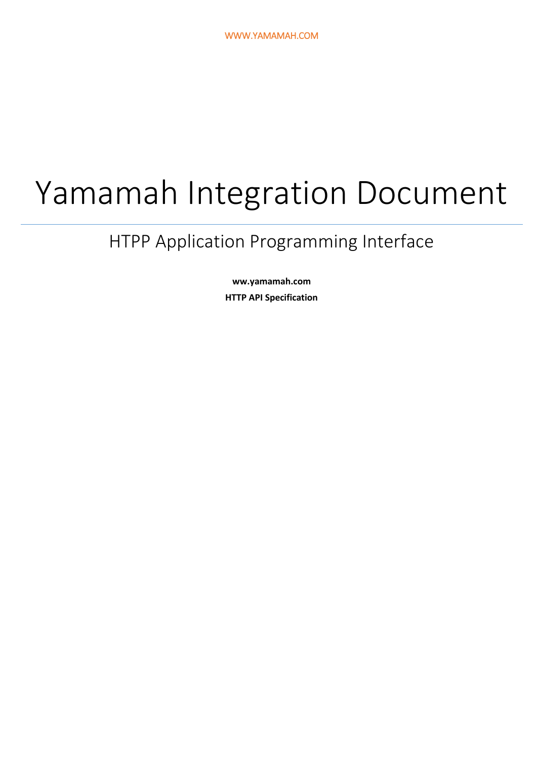# Yamamah Integration Document

# HTPP Application Programming Interface

**ww.yamamah.com HTTP API Specification**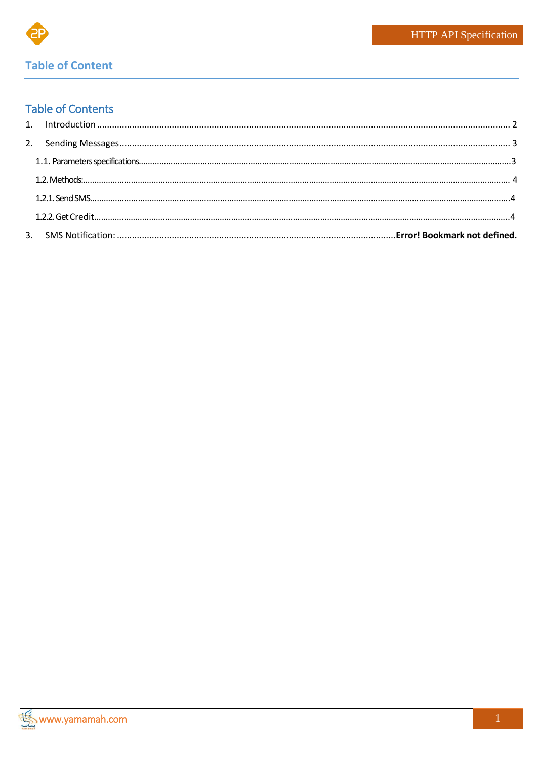

# **Table of Content**

# **Table of Contents**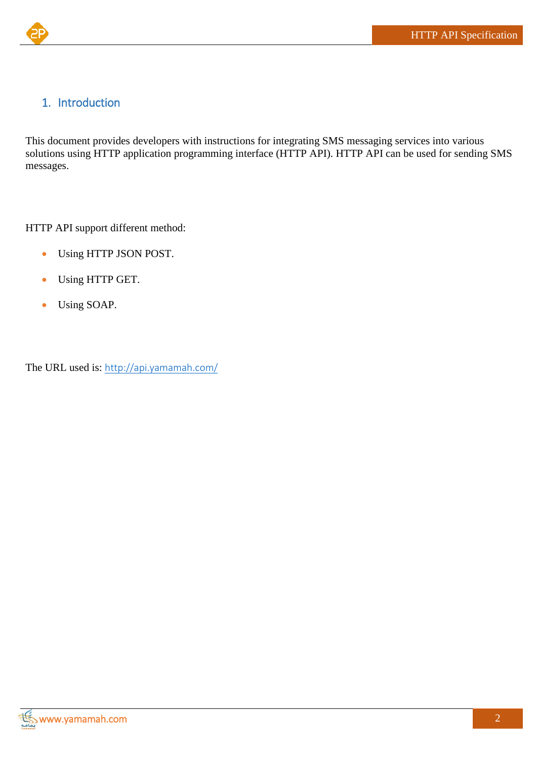# <span id="page-2-0"></span>1. Introduction

This document provides developers with instructions for integrating SMS messaging services into various solutions using HTTP application programming interface (HTTP API). HTTP API can be used for sending SMS messages.

HTTP API support different method:

- Using HTTP JSON POST.
- Using HTTP GET.
- Using SOAP.

The URL used is: <http://api.yamamah.com/>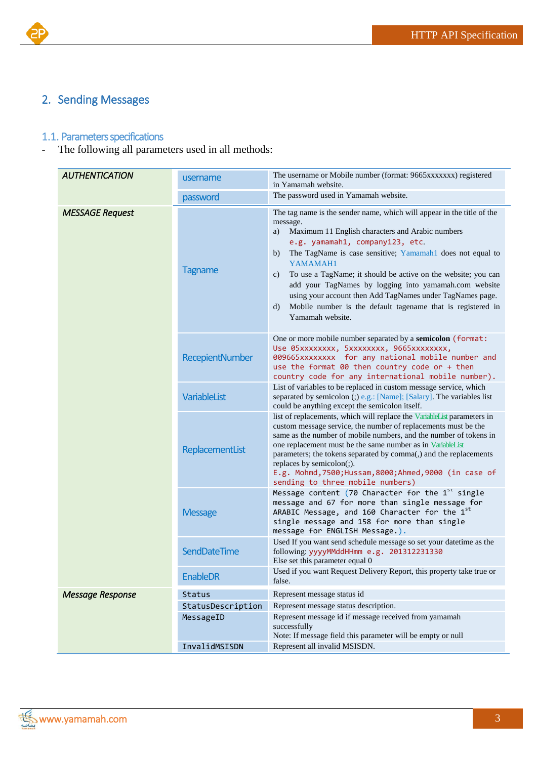

# <span id="page-3-0"></span>2. Sending Messages

### <span id="page-3-1"></span>1.1. Parameters specifications

- The following all parameters used in all methods:

| <b>AUTHENTICATION</b>   | username               | The username or Mobile number (format: 9665xxxxxxx) registered<br>in Yamamah website.                                                                                                                                                                                                                                                                                                                                                                                                                                                                           |
|-------------------------|------------------------|-----------------------------------------------------------------------------------------------------------------------------------------------------------------------------------------------------------------------------------------------------------------------------------------------------------------------------------------------------------------------------------------------------------------------------------------------------------------------------------------------------------------------------------------------------------------|
|                         | password               | The password used in Yamamah website.                                                                                                                                                                                                                                                                                                                                                                                                                                                                                                                           |
| <b>MESSAGE Request</b>  | <b>Tagname</b>         | The tag name is the sender name, which will appear in the title of the<br>message.<br>Maximum 11 English characters and Arabic numbers<br>a)<br>e.g. yamamah1, company123, etc.<br>The TagName is case sensitive; Yamamah1 does not equal to<br>b)<br>YAMAMAH1<br>To use a TagName; it should be active on the website; you can<br>$\mathbf{c})$<br>add your TagNames by logging into yamamah.com website<br>using your account then Add TagNames under TagNames page.<br>Mobile number is the default tagename that is registered in<br>d)<br>Yamamah website. |
|                         | <b>RecepientNumber</b> | One or more mobile number separated by a semicolon (format:<br>Use 05xxxxxxxx, 5xxxxxxxx, 9665xxxxxxxx,<br>009665xxxxxxxx for any national mobile number and<br>use the format 00 then country code or + then<br>country code for any international mobile number).                                                                                                                                                                                                                                                                                             |
|                         | VariableList           | List of variables to be replaced in custom message service, which<br>separated by semicolon (;) e.g.: [Name]; [Salary]. The variables list<br>could be anything except the semicolon itself.                                                                                                                                                                                                                                                                                                                                                                    |
|                         | ReplacementList        | list of replacements, which will replace the VariableList parameters in<br>custom message service, the number of replacements must be the<br>same as the number of mobile numbers, and the number of tokens in<br>one replacement must be the same number as in VariableList<br>parameters; the tokens separated by comma(,) and the replacements<br>replaces by semicolon(;).<br>E.g. Mohmd, 7500; Hussam, 8000; Ahmed, 9000 (in case of<br>sending to three mobile numbers)                                                                                   |
|                         | <b>Message</b>         | Message content (70 Character for the $1st$ single<br>message and 67 for more than single message for<br>ARABIC Message, and 160 Character for the 1st<br>single message and 158 for more than single<br>message for ENGLISH Message.).                                                                                                                                                                                                                                                                                                                         |
|                         | SendDateTime           | Used If you want send schedule message so set your datetime as the<br>following: yyyyMMddHHmm e.g. 201312231330<br>Else set this parameter equal 0                                                                                                                                                                                                                                                                                                                                                                                                              |
|                         | <b>EnableDR</b>        | Used if you want Request Delivery Report, this property take true or<br>false.                                                                                                                                                                                                                                                                                                                                                                                                                                                                                  |
| <b>Message Response</b> | Status                 | Represent message status id                                                                                                                                                                                                                                                                                                                                                                                                                                                                                                                                     |
|                         | StatusDescription      | Represent message status description.                                                                                                                                                                                                                                                                                                                                                                                                                                                                                                                           |
|                         | MessageID              | Represent message id if message received from yamamah<br>successfully<br>Note: If message field this parameter will be empty or null                                                                                                                                                                                                                                                                                                                                                                                                                            |
|                         | InvalidMSISDN          | Represent all invalid MSISDN.                                                                                                                                                                                                                                                                                                                                                                                                                                                                                                                                   |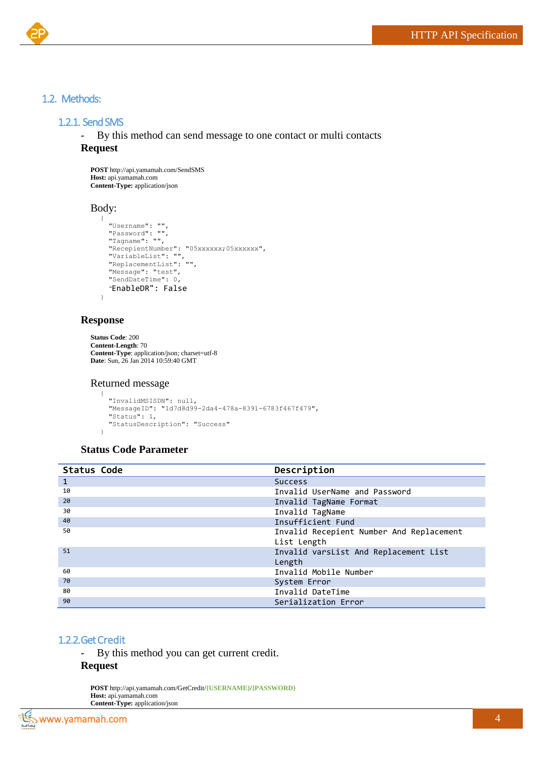#### <span id="page-4-0"></span>1.2. Methods:

#### 1.2.1. Send SMS

<span id="page-4-1"></span>- By this method can send message to one contact or multi contacts

#### **Request**

**POST** http://api.yamamah.com/SendSMS **Host:** api.yamamah.com **Content-Type:** application/json

#### Body:

```
{
  "Username": "",
 "Password": "",
 "Tagname": "",
 "RecepientNumber": "05xxxxxx;05xxxxxx",
 "VariableList": "",
 "ReplacementList": "",
   "Message": "test",
  "SendDateTime": 0,
   "EnableDR": False
```
#### **Response**

}

```
Status Code: 200 
Content-Length: 70
Content-Type: application/json; charset=utf-8
Date: Sun, 26 Jan 2014 10:59:40 GMT
```
#### Returned message

```
{
  "InvalidMSISDN": null,
   "MessageID": "1d7d8d99-2da4-478a-8391-6783f467f479",
   "Status": 1,
   "StatusDescription": "Success"
}
```
#### **Status Code Parameter**

<span id="page-4-3"></span>

| <b>Status Code</b> | Description                              |
|--------------------|------------------------------------------|
| 1                  | <b>Success</b>                           |
| 10                 | Invalid UserName and Password            |
| 20                 | Invalid TagName Format                   |
| 30                 | Invalid TagName                          |
| 40                 | Insufficient Fund                        |
| 50                 | Invalid Recepient Number And Replacement |
|                    | List Length                              |
| 51                 | Invalid varsList And Replacement List    |
|                    | Length                                   |
| 60                 | Invalid Mobile Number                    |
| 70                 | System Error                             |
| 80                 | Invalid DateTime                         |
| 90                 | Serialization Error                      |

#### <span id="page-4-2"></span>1.2.2.Get Credit

- By this method you can get current credit.

#### **Request**

**POST** http://api.yamamah.com/GetCredit/**{USERNAME}**/**{PASSWORD} Host:** api.yamamah.com **Content-Type:** application/json

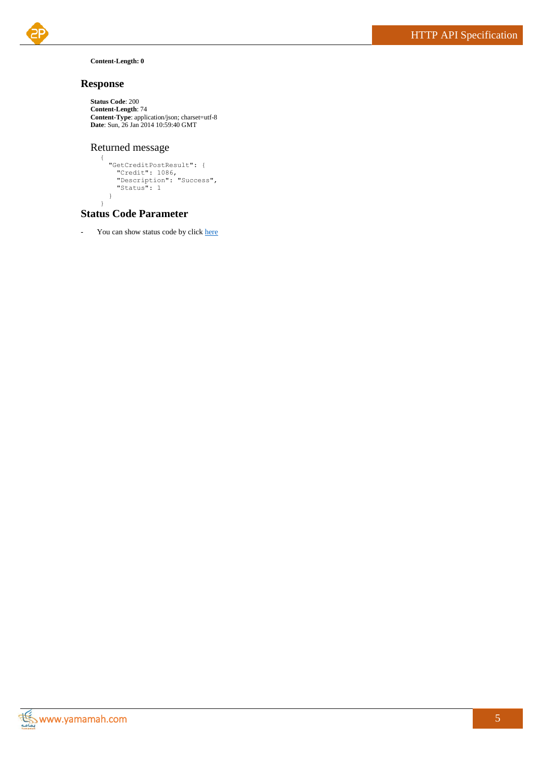

#### **Content-Length: 0**

#### **Response**

```
Status Code: 200 
Content-Length: 74
Content-Type: application/json; charset=utf-8
Date: Sun, 26 Jan 2014 10:59:40 GMT
```
#### Returned message

```
{
 "GetCreditPostResult": {
 "Credit": 1086,
 "Description": "Success",
 "Status": 1
  }
}
```
#### **Status Code Parameter**

- You can show status code by clic[k here](#page-4-3)

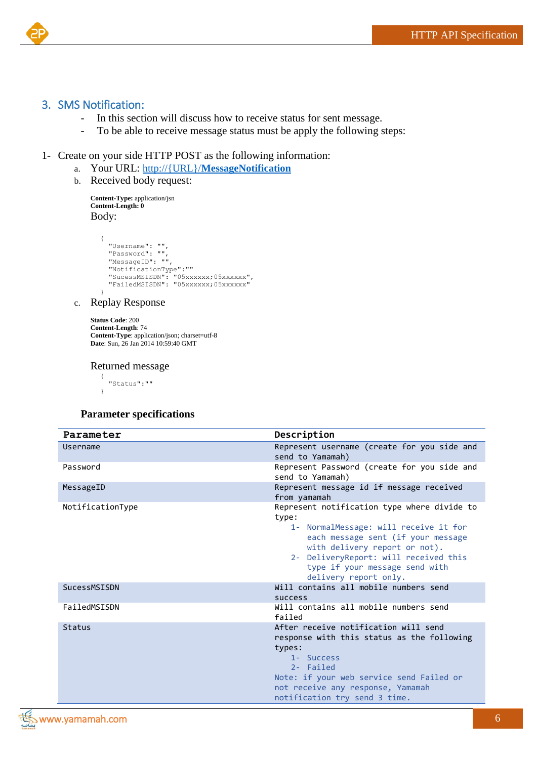

#### <span id="page-6-0"></span>3. SMS Notification:

- In this section will discuss how to receive status for sent message.
- To be able to receive message status must be apply the following steps:

#### 1- Create on your side HTTP POST as the following information:

- a. Your URL: http://{URL}/**MessageNotification**
- b. Received body request:

**Content-Type:** application/jsn **Content-Length: 0** Body:

```
{
  "Username": "",
 "Password": "",
 "MessageID": "",
 "NotificationType":""
 "SucessMSISDN": "05xxxxxx;05xxxxxx",
 "FailedMSISDN": "05xxxxxx;05xxxxxx"
}
```
c. Replay Response

```
Status Code: 200 
Content-Length: 74
Content-Type: application/json; charset=utf-8
Date: Sun, 26 Jan 2014 10:59:40 GMT
```
#### Returned message

{ "Status":"" }

#### **Parameter specifications**

| Parameter        | Description                                                                                                                                                                                                                                                              |
|------------------|--------------------------------------------------------------------------------------------------------------------------------------------------------------------------------------------------------------------------------------------------------------------------|
| Username         | Represent username (create for you side and<br>send to Yamamah)                                                                                                                                                                                                          |
| Password         | Represent Password (create for you side and<br>send to Yamamah)                                                                                                                                                                                                          |
| MessageID        | Represent message id if message received<br>from yamamah                                                                                                                                                                                                                 |
| NotificationType | Represent notification type where divide to<br>type:<br>1- NormalMessage: will receive it for<br>each message sent (if your message<br>with delivery report or not).<br>2- DeliveryReport: will received this<br>type if your message send with<br>delivery report only. |
| SucessMSISDN     | Will contains all mobile numbers send<br><b>SUCCESS</b>                                                                                                                                                                                                                  |
| FailedMSISDN     | Will contains all mobile numbers send<br>failed                                                                                                                                                                                                                          |
| <b>Status</b>    | After receive notification will send<br>response with this status as the following<br>types:<br>1- Success<br>2- Failed<br>Note: if your web service send Failed or<br>not receive any response, Yamamah<br>notification try send 3 time.                                |